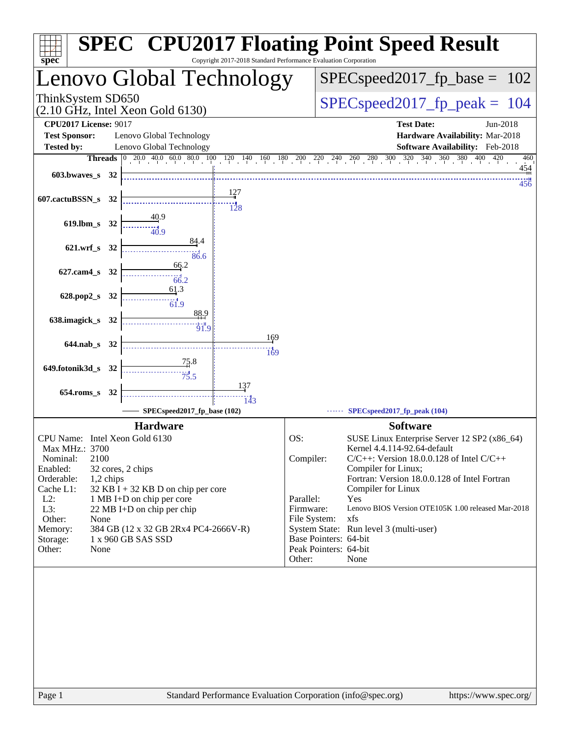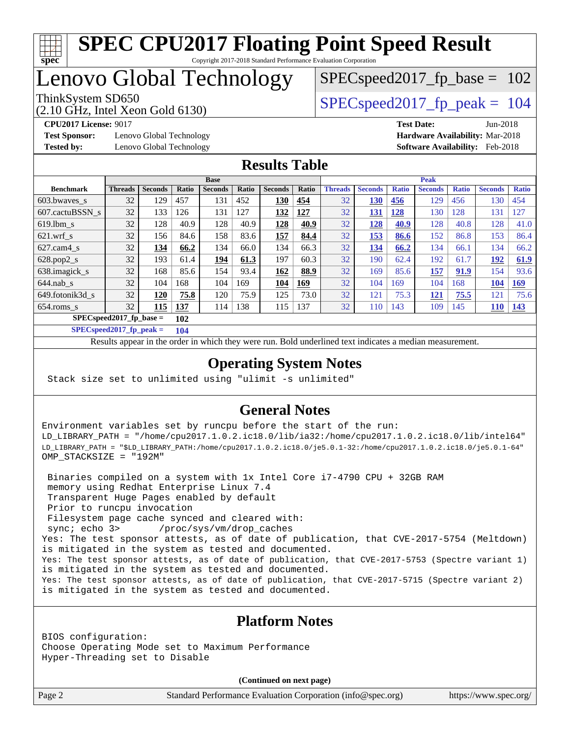

## Lenovo Global Technology

(2.10 GHz, Intel Xeon Gold 6130)

ThinkSystem SD650  $SPEC speed2017$  fp\_peak = 104

SPECspeed2017 fp base =  $102$ 

**[Test Sponsor:](http://www.spec.org/auto/cpu2017/Docs/result-fields.html#TestSponsor)** Lenovo Global Technology **[Hardware Availability:](http://www.spec.org/auto/cpu2017/Docs/result-fields.html#HardwareAvailability)** Mar-2018 **[Tested by:](http://www.spec.org/auto/cpu2017/Docs/result-fields.html#Testedby)** Lenovo Global Technology **[Software Availability:](http://www.spec.org/auto/cpu2017/Docs/result-fields.html#SoftwareAvailability)** Feb-2018

**[CPU2017 License:](http://www.spec.org/auto/cpu2017/Docs/result-fields.html#CPU2017License)** 9017 **[Test Date:](http://www.spec.org/auto/cpu2017/Docs/result-fields.html#TestDate)** Jun-2018

#### **[Results Table](http://www.spec.org/auto/cpu2017/Docs/result-fields.html#ResultsTable)**

|                           | <b>Base</b>    |                |                |                |       | <b>Peak</b>    |            |                |                |              |                |              |                |              |
|---------------------------|----------------|----------------|----------------|----------------|-------|----------------|------------|----------------|----------------|--------------|----------------|--------------|----------------|--------------|
| <b>Benchmark</b>          | <b>Threads</b> | <b>Seconds</b> | Ratio          | <b>Seconds</b> | Ratio | <b>Seconds</b> | Ratio      | <b>Threads</b> | <b>Seconds</b> | <b>Ratio</b> | <b>Seconds</b> | <b>Ratio</b> | <b>Seconds</b> | <b>Ratio</b> |
| 603.bwayes_s              | 32             | 129            | 457            | 131            | 452   | 130            | 454        | 32             | 130            | 456          | 129            | 456          | 130            | 454          |
| 607.cactuBSSN s           | 32             | 133            | 26 <sup></sup> | 131            | 127   | 132            | <u>127</u> | 32             | 131            | 128          | 130            | 128          | 131            | 127          |
| $619.1$ bm s              | 32             | 128            | 40.9           | 128            | 40.9  | 128            | 40.9       | 32             | 128            | 40.9         | 128            | 40.8         | 128            | 41.0         |
| $621$ .wrf s              | 32             | 156            | 84.6           | 158            | 83.6  | 157            | 84.4       | 32             | 153            | 86.6         | 152            | 86.8         | 153            | 86.4         |
| $627$ .cam $4$ s          | 32             | 134            | 66.2           | 134            | 66.0  | 134            | 66.3       | 32             | 134            | 66.2         | 134            | 66.1         | 134            | 66.2         |
| $628.pop2_s$              | 32             | 193            | 61.4           | 194            | 61.3  | 197            | 60.3       | 32             | 190            | 62.4         | 192            | 61.7         | 192            | 61.9         |
| 638.imagick_s             | 32             | 168            | 85.6           | 154            | 93.4  | 162            | 88.9       | 32             | 169            | 85.6         | 157            | 91.9         | 154            | 93.6         |
| $644$ .nab s              | 32             | 104            | 168            | 104            | 169   | 104            | <u>169</u> | 32             | 104            | 169          | 104            | 168          | 104            | 169          |
| 649.fotonik3d s           | 32             | 120            | 75.8           | 120            | 75.9  | 125            | 73.0       | 32             | 121            | 75.3         | <u>121</u>     | 75.5         | 121            | 75.6         |
| $654$ .roms s             | 32             | 115            | <b>137</b>     | 114            | 138   | 115            | 137        | 32             | 110            | 143          | 109            | 145          | 110            | <u>143</u>   |
| $SPECspeed2017$ fp base = |                | 102            |                |                |       |                |            |                |                |              |                |              |                |              |

**[SPECspeed2017\\_fp\\_peak =](http://www.spec.org/auto/cpu2017/Docs/result-fields.html#SPECspeed2017fppeak) 104**

Results appear in the [order in which they were run.](http://www.spec.org/auto/cpu2017/Docs/result-fields.html#RunOrder) Bold underlined text [indicates a median measurement](http://www.spec.org/auto/cpu2017/Docs/result-fields.html#Median).

### **[Operating System Notes](http://www.spec.org/auto/cpu2017/Docs/result-fields.html#OperatingSystemNotes)**

Stack size set to unlimited using "ulimit -s unlimited"

### **[General Notes](http://www.spec.org/auto/cpu2017/Docs/result-fields.html#GeneralNotes)**

Environment variables set by runcpu before the start of the run: LD\_LIBRARY\_PATH = "/home/cpu2017.1.0.2.ic18.0/lib/ia32:/home/cpu2017.1.0.2.ic18.0/lib/intel64" LD\_LIBRARY\_PATH = "\$LD\_LIBRARY\_PATH:/home/cpu2017.1.0.2.ic18.0/je5.0.1-32:/home/cpu2017.1.0.2.ic18.0/je5.0.1-64" OMP\_STACKSIZE = "192M"

 Binaries compiled on a system with 1x Intel Core i7-4790 CPU + 32GB RAM memory using Redhat Enterprise Linux 7.4 Transparent Huge Pages enabled by default Prior to runcpu invocation Filesystem page cache synced and cleared with: sync; echo 3> /proc/sys/vm/drop\_caches Yes: The test sponsor attests, as of date of publication, that CVE-2017-5754 (Meltdown) is mitigated in the system as tested and documented. Yes: The test sponsor attests, as of date of publication, that CVE-2017-5753 (Spectre variant 1) is mitigated in the system as tested and documented. Yes: The test sponsor attests, as of date of publication, that CVE-2017-5715 (Spectre variant 2) is mitigated in the system as tested and documented.

#### **[Platform Notes](http://www.spec.org/auto/cpu2017/Docs/result-fields.html#PlatformNotes)**

BIOS configuration: Choose Operating Mode set to Maximum Performance Hyper-Threading set to Disable

**(Continued on next page)**

Page 2 Standard Performance Evaluation Corporation [\(info@spec.org\)](mailto:info@spec.org) <https://www.spec.org/>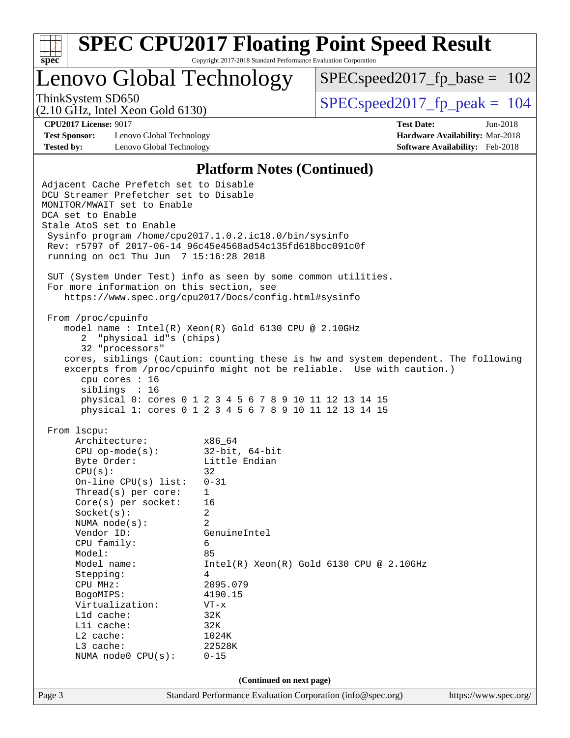

Lenovo Global Technology

 $SPEC speed2017_fp\_base = 102$ 

(2.10 GHz, Intel Xeon Gold 6130)

ThinkSystem SD650  $SPEC speed2017$  fp\_peak = 104

**[Test Sponsor:](http://www.spec.org/auto/cpu2017/Docs/result-fields.html#TestSponsor)** Lenovo Global Technology **[Hardware Availability:](http://www.spec.org/auto/cpu2017/Docs/result-fields.html#HardwareAvailability)** Mar-2018 **[Tested by:](http://www.spec.org/auto/cpu2017/Docs/result-fields.html#Testedby)** Lenovo Global Technology **[Software Availability:](http://www.spec.org/auto/cpu2017/Docs/result-fields.html#SoftwareAvailability)** Feb-2018

**[CPU2017 License:](http://www.spec.org/auto/cpu2017/Docs/result-fields.html#CPU2017License)** 9017 **[Test Date:](http://www.spec.org/auto/cpu2017/Docs/result-fields.html#TestDate)** Jun-2018

#### **[Platform Notes \(Continued\)](http://www.spec.org/auto/cpu2017/Docs/result-fields.html#PlatformNotes)**

Page 3 Standard Performance Evaluation Corporation [\(info@spec.org\)](mailto:info@spec.org) <https://www.spec.org/> Adjacent Cache Prefetch set to Disable DCU Streamer Prefetcher set to Disable MONITOR/MWAIT set to Enable DCA set to Enable Stale AtoS set to Enable Sysinfo program /home/cpu2017.1.0.2.ic18.0/bin/sysinfo Rev: r5797 of 2017-06-14 96c45e4568ad54c135fd618bcc091c0f running on oc1 Thu Jun 7 15:16:28 2018 SUT (System Under Test) info as seen by some common utilities. For more information on this section, see <https://www.spec.org/cpu2017/Docs/config.html#sysinfo> From /proc/cpuinfo model name : Intel(R) Xeon(R) Gold 6130 CPU @ 2.10GHz 2 "physical id"s (chips) 32 "processors" cores, siblings (Caution: counting these is hw and system dependent. The following excerpts from /proc/cpuinfo might not be reliable. Use with caution.) cpu cores : 16 siblings : 16 physical 0: cores 0 1 2 3 4 5 6 7 8 9 10 11 12 13 14 15 physical 1: cores 0 1 2 3 4 5 6 7 8 9 10 11 12 13 14 15 From lscpu: Architecture: x86\_64 CPU op-mode(s): 32-bit, 64-bit Byte Order: Little Endian  $CPU(s):$  32 On-line CPU(s) list: 0-31 Thread(s) per core: 1 Core(s) per socket: 16 Socket(s): 2 NUMA node(s): 2 Vendor ID: GenuineIntel CPU family: 6 Model: 85<br>Model name: 1n  $Intel(R)$  Xeon(R) Gold 6130 CPU @ 2.10GHz Stepping: 4 CPU MHz: 2095.079 BogoMIPS: 4190.15 Virtualization: VT-x L1d cache: 32K L1i cache: 32K L2 cache: 1024K L3 cache: 22528K NUMA node0 CPU(s): 0-15 **(Continued on next page)**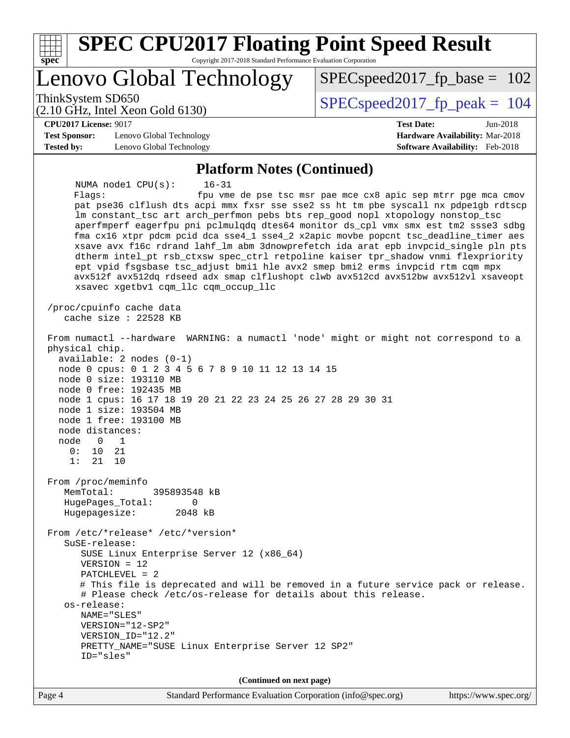| <b>SPEC CPU2017 Floating Point Speed Result</b><br>Copyright 2017-2018 Standard Performance Evaluation Corporation<br>spec <sup>®</sup>                                                                                                                                                                                                                                                                                                                                                                                                                                                                                                                                                                                                                                                      |                                                                                                     |
|----------------------------------------------------------------------------------------------------------------------------------------------------------------------------------------------------------------------------------------------------------------------------------------------------------------------------------------------------------------------------------------------------------------------------------------------------------------------------------------------------------------------------------------------------------------------------------------------------------------------------------------------------------------------------------------------------------------------------------------------------------------------------------------------|-----------------------------------------------------------------------------------------------------|
| Lenovo Global Technology                                                                                                                                                                                                                                                                                                                                                                                                                                                                                                                                                                                                                                                                                                                                                                     | $SPEC speed2017_f p\_base = 102$                                                                    |
| ThinkSystem SD650<br>$(2.10 \text{ GHz}, \text{Intel Xeon Gold } 6130)$                                                                                                                                                                                                                                                                                                                                                                                                                                                                                                                                                                                                                                                                                                                      | $SPEC speed2017_fp\_peak = 104$                                                                     |
| <b>CPU2017 License: 9017</b><br><b>Test Sponsor:</b><br>Lenovo Global Technology<br><b>Tested by:</b><br>Lenovo Global Technology                                                                                                                                                                                                                                                                                                                                                                                                                                                                                                                                                                                                                                                            | <b>Test Date:</b><br>Jun-2018<br>Hardware Availability: Mar-2018<br>Software Availability: Feb-2018 |
| <b>Platform Notes (Continued)</b>                                                                                                                                                                                                                                                                                                                                                                                                                                                                                                                                                                                                                                                                                                                                                            |                                                                                                     |
| NUMA nodel CPU(s):<br>$16 - 31$<br>Flags:<br>pat pse36 clflush dts acpi mmx fxsr sse sse2 ss ht tm pbe syscall nx pdpelgb rdtscp<br>lm constant_tsc art arch_perfmon pebs bts rep_good nopl xtopology nonstop_tsc<br>aperfmperf eagerfpu pni pclmulqdq dtes64 monitor ds_cpl vmx smx est tm2 ssse3 sdbg<br>fma cx16 xtpr pdcm pcid dca sse4_1 sse4_2 x2apic movbe popcnt tsc_deadline_timer aes<br>xsave avx f16c rdrand lahf_lm abm 3dnowprefetch ida arat epb invpcid_single pln pts<br>dtherm intel_pt rsb_ctxsw spec_ctrl retpoline kaiser tpr_shadow vnmi flexpriority<br>ept vpid fsgsbase tsc_adjust bmil hle avx2 smep bmi2 erms invpcid rtm cqm mpx<br>avx512f avx512dq rdseed adx smap clflushopt clwb avx512cd avx512bw avx512vl xsaveopt<br>xsavec xgetbvl cqm_llc cqm_occup_llc | fpu vme de pse tsc msr pae mce cx8 apic sep mtrr pge mca cmov                                       |
| /proc/cpuinfo cache data<br>cache size : 22528 KB                                                                                                                                                                                                                                                                                                                                                                                                                                                                                                                                                                                                                                                                                                                                            |                                                                                                     |
| From numactl --hardware WARNING: a numactl 'node' might or might not correspond to a<br>physical chip.<br>$available: 2 nodes (0-1)$<br>node 0 cpus: 0 1 2 3 4 5 6 7 8 9 10 11 12 13 14 15<br>node 0 size: 193110 MB<br>node 0 free: 192435 MB<br>node 1 cpus: 16 17 18 19 20 21 22 23 24 25 26 27 28 29 30 31<br>node 1 size: 193504 MB<br>node 1 free: 193100 MB<br>node distances:<br>node<br>0<br>1<br>0:<br>10<br>21<br>1:<br>21<br>10                                                                                                                                                                                                                                                                                                                                                  |                                                                                                     |
| From /proc/meminfo<br>MemTotal:<br>395893548 kB<br>HugePages_Total:<br>0<br>Hugepagesize:<br>2048 kB                                                                                                                                                                                                                                                                                                                                                                                                                                                                                                                                                                                                                                                                                         |                                                                                                     |
| From /etc/*release* /etc/*version*<br>$S$ uSE-release:<br>SUSE Linux Enterprise Server 12 (x86_64)<br>$VERSION = 12$<br>PATCHLEVEL = 2<br># This file is deprecated and will be removed in a future service pack or release.<br># Please check /etc/os-release for details about this release.<br>os-release:<br>NAME="SLES"<br>VERSION="12-SP2"<br>VERSION_ID="12.2"<br>PRETTY_NAME="SUSE Linux Enterprise Server 12 SP2"<br>ID="sles"                                                                                                                                                                                                                                                                                                                                                      |                                                                                                     |
| (Continued on next page)                                                                                                                                                                                                                                                                                                                                                                                                                                                                                                                                                                                                                                                                                                                                                                     |                                                                                                     |
| Page 4<br>Standard Performance Evaluation Corporation (info@spec.org)                                                                                                                                                                                                                                                                                                                                                                                                                                                                                                                                                                                                                                                                                                                        | https://www.spec.org/                                                                               |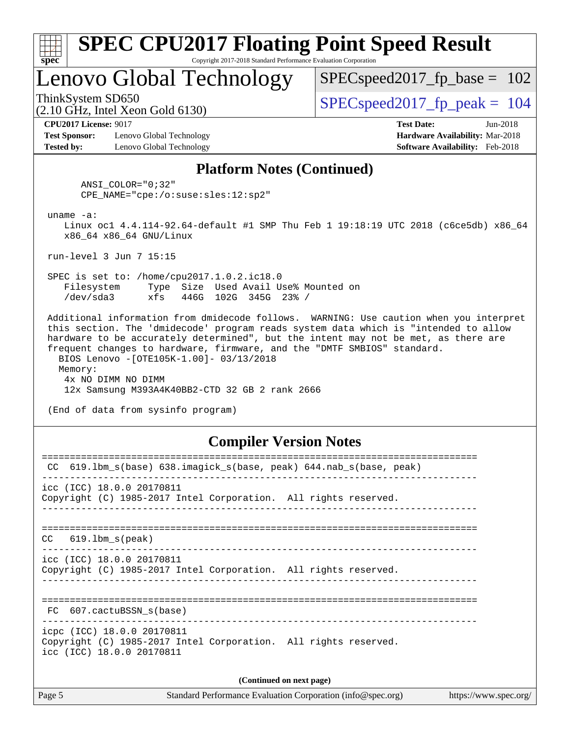| ч<br>œ<br>п.<br>c |  |  |  |  |
|-------------------|--|--|--|--|

## Lenovo Global Technology

SPECspeed2017 fp base =  $102$ 

(2.10 GHz, Intel Xeon Gold 6130)

ThinkSystem SD650  $SPEC speed2017$  fp\_peak = 104

**[CPU2017 License:](http://www.spec.org/auto/cpu2017/Docs/result-fields.html#CPU2017License)** 9017 **[Test Date:](http://www.spec.org/auto/cpu2017/Docs/result-fields.html#TestDate)** Jun-2018

**[Test Sponsor:](http://www.spec.org/auto/cpu2017/Docs/result-fields.html#TestSponsor)** Lenovo Global Technology **[Hardware Availability:](http://www.spec.org/auto/cpu2017/Docs/result-fields.html#HardwareAvailability)** Mar-2018 **[Tested by:](http://www.spec.org/auto/cpu2017/Docs/result-fields.html#Testedby)** Lenovo Global Technology **[Software Availability:](http://www.spec.org/auto/cpu2017/Docs/result-fields.html#SoftwareAvailability)** Feb-2018

#### **[Platform Notes \(Continued\)](http://www.spec.org/auto/cpu2017/Docs/result-fields.html#PlatformNotes)**

 ANSI\_COLOR="0;32" CPE\_NAME="cpe:/o:suse:sles:12:sp2"

uname -a:

 Linux oc1 4.4.114-92.64-default #1 SMP Thu Feb 1 19:18:19 UTC 2018 (c6ce5db) x86\_64 x86\_64 x86\_64 GNU/Linux

run-level 3 Jun 7 15:15

 SPEC is set to: /home/cpu2017.1.0.2.ic18.0 Filesystem Type Size Used Avail Use% Mounted on /dev/sda3 xfs 446G 102G 345G 23% /

 Additional information from dmidecode follows. WARNING: Use caution when you interpret this section. The 'dmidecode' program reads system data which is "intended to allow hardware to be accurately determined", but the intent may not be met, as there are frequent changes to hardware, firmware, and the "DMTF SMBIOS" standard. BIOS Lenovo -[OTE105K-1.00]- 03/13/2018 Memory: 4x NO DIMM NO DIMM 12x Samsung M393A4K40BB2-CTD 32 GB 2 rank 2666

(End of data from sysinfo program)

#### **[Compiler Version Notes](http://www.spec.org/auto/cpu2017/Docs/result-fields.html#CompilerVersionNotes)**

| 619.1bm s(base) 638.imagick s(base, peak) 644.nab s(base, peak)<br>CC                                                      |  |  |  |  |  |
|----------------------------------------------------------------------------------------------------------------------------|--|--|--|--|--|
| icc (ICC) 18.0.0 20170811<br>Copyright (C) 1985-2017 Intel Corporation. All rights reserved.                               |  |  |  |  |  |
| $CC$ $619.1bm_s(peak)$                                                                                                     |  |  |  |  |  |
| icc (ICC) 18.0.0 20170811<br>Copyright (C) 1985-2017 Intel Corporation. All rights reserved.                               |  |  |  |  |  |
| FC 607.cactuBSSN s(base)                                                                                                   |  |  |  |  |  |
| icpc (ICC) 18.0.0 20170811<br>Copyright (C) 1985-2017 Intel Corporation. All rights reserved.<br>icc (ICC) 18.0.0 20170811 |  |  |  |  |  |
| (Continued on next page)                                                                                                   |  |  |  |  |  |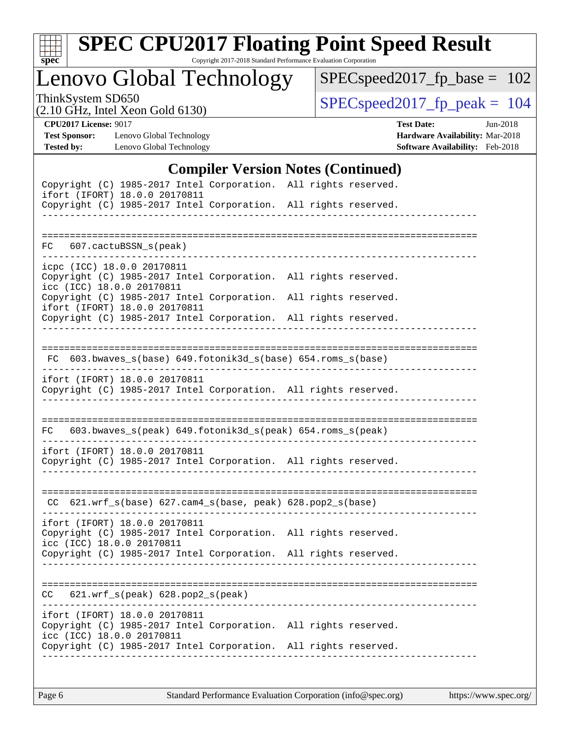

# **[SPEC CPU2017 Floating Point Speed Result](http://www.spec.org/auto/cpu2017/Docs/result-fields.html#SPECCPU2017FloatingPointSpeedResult)**

Copyright 2017-2018 Standard Performance Evaluation Corporation

Lenovo Global Technology

[SPECspeed2017\\_fp\\_base =](http://www.spec.org/auto/cpu2017/Docs/result-fields.html#SPECspeed2017fpbase) 102

(2.10 GHz, Intel Xeon Gold 6130)

ThinkSystem SD650<br>  $(2.10 \text{ GHz})$  Intel Xeon Gold 6130)

**[Tested by:](http://www.spec.org/auto/cpu2017/Docs/result-fields.html#Testedby)** Lenovo Global Technology **[Software Availability:](http://www.spec.org/auto/cpu2017/Docs/result-fields.html#SoftwareAvailability)** Feb-2018

**[CPU2017 License:](http://www.spec.org/auto/cpu2017/Docs/result-fields.html#CPU2017License)** 9017 **[Test Date:](http://www.spec.org/auto/cpu2017/Docs/result-fields.html#TestDate)** Jun-2018 **[Test Sponsor:](http://www.spec.org/auto/cpu2017/Docs/result-fields.html#TestSponsor)** Lenovo Global Technology **[Hardware Availability:](http://www.spec.org/auto/cpu2017/Docs/result-fields.html#HardwareAvailability)** Mar-2018

### **[Compiler Version Notes \(Continued\)](http://www.spec.org/auto/cpu2017/Docs/result-fields.html#CompilerVersionNotes)**

| Copyright (C) 1985-2017 Intel Corporation. All rights reserved.<br>ifort (IFORT) 18.0.0 20170811                              |  |
|-------------------------------------------------------------------------------------------------------------------------------|--|
| Copyright (C) 1985-2017 Intel Corporation. All rights reserved.                                                               |  |
|                                                                                                                               |  |
| FC 607.cactuBSSN_s(peak)                                                                                                      |  |
| icpc (ICC) 18.0.0 20170811<br>Copyright (C) 1985-2017 Intel Corporation. All rights reserved.<br>icc (ICC) 18.0.0 20170811    |  |
| Copyright (C) 1985-2017 Intel Corporation. All rights reserved.<br>ifort (IFORT) 18.0.0 20170811                              |  |
| Copyright (C) 1985-2017 Intel Corporation. All rights reserved.                                                               |  |
|                                                                                                                               |  |
| FC 603.bwaves_s(base) 649.fotonik3d_s(base) 654.roms_s(base)                                                                  |  |
| ifort (IFORT) 18.0.0 20170811<br>Copyright (C) 1985-2017 Intel Corporation. All rights reserved.                              |  |
|                                                                                                                               |  |
| 603.bwaves_s(peak) 649.fotonik3d_s(peak) 654.roms_s(peak)<br>FC                                                               |  |
| ifort (IFORT) 18.0.0 20170811<br>Copyright (C) 1985-2017 Intel Corporation. All rights reserved.                              |  |
| CC 621.wrf_s(base) 627.cam4_s(base, peak) 628.pop2_s(base)                                                                    |  |
| ifort (IFORT) 18.0.0 20170811<br>Copyright (C) 1985-2017 Intel Corporation. All rights reserved.<br>icc (ICC) 18.0.0 20170811 |  |
| Copyright (C) 1985-2017 Intel Corporation. All rights reserved.                                                               |  |
|                                                                                                                               |  |
| 621.wrf_s(peak) 628.pop2_s(peak)<br>CC                                                                                        |  |
|                                                                                                                               |  |
| ifort (IFORT) 18.0.0 20170811<br>Copyright (C) 1985-2017 Intel Corporation. All rights reserved.                              |  |
| icc (ICC) 18.0.0 20170811<br>Copyright (C) 1985-2017 Intel Corporation. All rights reserved.                                  |  |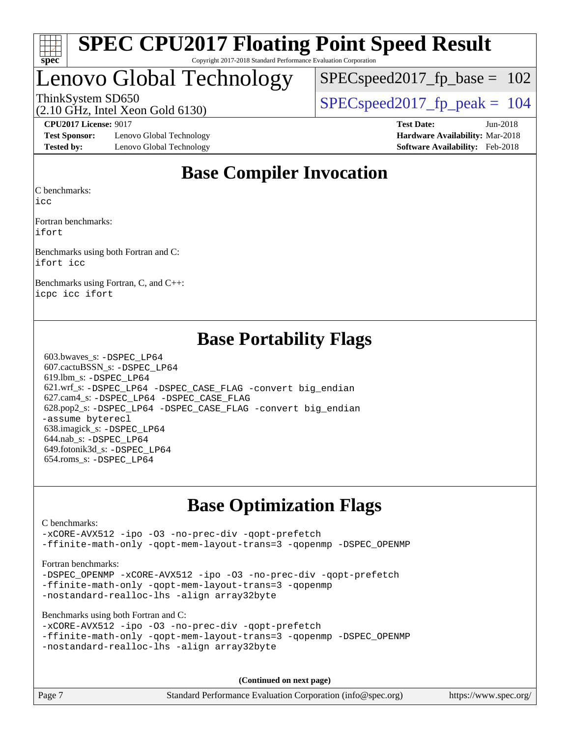

## Lenovo Global Technology

SPECspeed2017 fp base =  $102$ 

(2.10 GHz, Intel Xeon Gold 6130)

ThinkSystem SD650  $SPEC speed2017$  fp\_peak = 104

**[Test Sponsor:](http://www.spec.org/auto/cpu2017/Docs/result-fields.html#TestSponsor)** Lenovo Global Technology **[Hardware Availability:](http://www.spec.org/auto/cpu2017/Docs/result-fields.html#HardwareAvailability)** Mar-2018 **[Tested by:](http://www.spec.org/auto/cpu2017/Docs/result-fields.html#Testedby)** Lenovo Global Technology **[Software Availability:](http://www.spec.org/auto/cpu2017/Docs/result-fields.html#SoftwareAvailability)** Feb-2018

**[CPU2017 License:](http://www.spec.org/auto/cpu2017/Docs/result-fields.html#CPU2017License)** 9017 **[Test Date:](http://www.spec.org/auto/cpu2017/Docs/result-fields.html#TestDate)** Jun-2018

## **[Base Compiler Invocation](http://www.spec.org/auto/cpu2017/Docs/result-fields.html#BaseCompilerInvocation)**

[C benchmarks](http://www.spec.org/auto/cpu2017/Docs/result-fields.html#Cbenchmarks):

[icc](http://www.spec.org/cpu2017/results/res2018q2/cpu2017-20180611-06756.flags.html#user_CCbase_intel_icc_18.0_66fc1ee009f7361af1fbd72ca7dcefbb700085f36577c54f309893dd4ec40d12360134090235512931783d35fd58c0460139e722d5067c5574d8eaf2b3e37e92)

[Fortran benchmarks:](http://www.spec.org/auto/cpu2017/Docs/result-fields.html#Fortranbenchmarks) [ifort](http://www.spec.org/cpu2017/results/res2018q2/cpu2017-20180611-06756.flags.html#user_FCbase_intel_ifort_18.0_8111460550e3ca792625aed983ce982f94888b8b503583aa7ba2b8303487b4d8a21a13e7191a45c5fd58ff318f48f9492884d4413fa793fd88dd292cad7027ca)

[Benchmarks using both Fortran and C](http://www.spec.org/auto/cpu2017/Docs/result-fields.html#BenchmarksusingbothFortranandC): [ifort](http://www.spec.org/cpu2017/results/res2018q2/cpu2017-20180611-06756.flags.html#user_CC_FCbase_intel_ifort_18.0_8111460550e3ca792625aed983ce982f94888b8b503583aa7ba2b8303487b4d8a21a13e7191a45c5fd58ff318f48f9492884d4413fa793fd88dd292cad7027ca) [icc](http://www.spec.org/cpu2017/results/res2018q2/cpu2017-20180611-06756.flags.html#user_CC_FCbase_intel_icc_18.0_66fc1ee009f7361af1fbd72ca7dcefbb700085f36577c54f309893dd4ec40d12360134090235512931783d35fd58c0460139e722d5067c5574d8eaf2b3e37e92)

[Benchmarks using Fortran, C, and C++](http://www.spec.org/auto/cpu2017/Docs/result-fields.html#BenchmarksusingFortranCandCXX): [icpc](http://www.spec.org/cpu2017/results/res2018q2/cpu2017-20180611-06756.flags.html#user_CC_CXX_FCbase_intel_icpc_18.0_c510b6838c7f56d33e37e94d029a35b4a7bccf4766a728ee175e80a419847e808290a9b78be685c44ab727ea267ec2f070ec5dc83b407c0218cded6866a35d07) [icc](http://www.spec.org/cpu2017/results/res2018q2/cpu2017-20180611-06756.flags.html#user_CC_CXX_FCbase_intel_icc_18.0_66fc1ee009f7361af1fbd72ca7dcefbb700085f36577c54f309893dd4ec40d12360134090235512931783d35fd58c0460139e722d5067c5574d8eaf2b3e37e92) [ifort](http://www.spec.org/cpu2017/results/res2018q2/cpu2017-20180611-06756.flags.html#user_CC_CXX_FCbase_intel_ifort_18.0_8111460550e3ca792625aed983ce982f94888b8b503583aa7ba2b8303487b4d8a21a13e7191a45c5fd58ff318f48f9492884d4413fa793fd88dd292cad7027ca)

## **[Base Portability Flags](http://www.spec.org/auto/cpu2017/Docs/result-fields.html#BasePortabilityFlags)**

 603.bwaves\_s: [-DSPEC\\_LP64](http://www.spec.org/cpu2017/results/res2018q2/cpu2017-20180611-06756.flags.html#suite_basePORTABILITY603_bwaves_s_DSPEC_LP64) 607.cactuBSSN\_s: [-DSPEC\\_LP64](http://www.spec.org/cpu2017/results/res2018q2/cpu2017-20180611-06756.flags.html#suite_basePORTABILITY607_cactuBSSN_s_DSPEC_LP64) 619.lbm\_s: [-DSPEC\\_LP64](http://www.spec.org/cpu2017/results/res2018q2/cpu2017-20180611-06756.flags.html#suite_basePORTABILITY619_lbm_s_DSPEC_LP64) 621.wrf\_s: [-DSPEC\\_LP64](http://www.spec.org/cpu2017/results/res2018q2/cpu2017-20180611-06756.flags.html#suite_basePORTABILITY621_wrf_s_DSPEC_LP64) [-DSPEC\\_CASE\\_FLAG](http://www.spec.org/cpu2017/results/res2018q2/cpu2017-20180611-06756.flags.html#b621.wrf_s_baseCPORTABILITY_DSPEC_CASE_FLAG) [-convert big\\_endian](http://www.spec.org/cpu2017/results/res2018q2/cpu2017-20180611-06756.flags.html#user_baseFPORTABILITY621_wrf_s_convert_big_endian_c3194028bc08c63ac5d04de18c48ce6d347e4e562e8892b8bdbdc0214820426deb8554edfa529a3fb25a586e65a3d812c835984020483e7e73212c4d31a38223) 627.cam4\_s: [-DSPEC\\_LP64](http://www.spec.org/cpu2017/results/res2018q2/cpu2017-20180611-06756.flags.html#suite_basePORTABILITY627_cam4_s_DSPEC_LP64) [-DSPEC\\_CASE\\_FLAG](http://www.spec.org/cpu2017/results/res2018q2/cpu2017-20180611-06756.flags.html#b627.cam4_s_baseCPORTABILITY_DSPEC_CASE_FLAG) 628.pop2\_s: [-DSPEC\\_LP64](http://www.spec.org/cpu2017/results/res2018q2/cpu2017-20180611-06756.flags.html#suite_basePORTABILITY628_pop2_s_DSPEC_LP64) [-DSPEC\\_CASE\\_FLAG](http://www.spec.org/cpu2017/results/res2018q2/cpu2017-20180611-06756.flags.html#b628.pop2_s_baseCPORTABILITY_DSPEC_CASE_FLAG) [-convert big\\_endian](http://www.spec.org/cpu2017/results/res2018q2/cpu2017-20180611-06756.flags.html#user_baseFPORTABILITY628_pop2_s_convert_big_endian_c3194028bc08c63ac5d04de18c48ce6d347e4e562e8892b8bdbdc0214820426deb8554edfa529a3fb25a586e65a3d812c835984020483e7e73212c4d31a38223) [-assume byterecl](http://www.spec.org/cpu2017/results/res2018q2/cpu2017-20180611-06756.flags.html#user_baseFPORTABILITY628_pop2_s_assume_byterecl_7e47d18b9513cf18525430bbf0f2177aa9bf368bc7a059c09b2c06a34b53bd3447c950d3f8d6c70e3faf3a05c8557d66a5798b567902e8849adc142926523472) 638.imagick\_s: [-DSPEC\\_LP64](http://www.spec.org/cpu2017/results/res2018q2/cpu2017-20180611-06756.flags.html#suite_basePORTABILITY638_imagick_s_DSPEC_LP64) 644.nab\_s: [-DSPEC\\_LP64](http://www.spec.org/cpu2017/results/res2018q2/cpu2017-20180611-06756.flags.html#suite_basePORTABILITY644_nab_s_DSPEC_LP64) 649.fotonik3d\_s: [-DSPEC\\_LP64](http://www.spec.org/cpu2017/results/res2018q2/cpu2017-20180611-06756.flags.html#suite_basePORTABILITY649_fotonik3d_s_DSPEC_LP64) 654.roms\_s: [-DSPEC\\_LP64](http://www.spec.org/cpu2017/results/res2018q2/cpu2017-20180611-06756.flags.html#suite_basePORTABILITY654_roms_s_DSPEC_LP64)

## **[Base Optimization Flags](http://www.spec.org/auto/cpu2017/Docs/result-fields.html#BaseOptimizationFlags)**

[C benchmarks](http://www.spec.org/auto/cpu2017/Docs/result-fields.html#Cbenchmarks):

[-xCORE-AVX512](http://www.spec.org/cpu2017/results/res2018q2/cpu2017-20180611-06756.flags.html#user_CCbase_f-xCORE-AVX512) [-ipo](http://www.spec.org/cpu2017/results/res2018q2/cpu2017-20180611-06756.flags.html#user_CCbase_f-ipo) [-O3](http://www.spec.org/cpu2017/results/res2018q2/cpu2017-20180611-06756.flags.html#user_CCbase_f-O3) [-no-prec-div](http://www.spec.org/cpu2017/results/res2018q2/cpu2017-20180611-06756.flags.html#user_CCbase_f-no-prec-div) [-qopt-prefetch](http://www.spec.org/cpu2017/results/res2018q2/cpu2017-20180611-06756.flags.html#user_CCbase_f-qopt-prefetch) [-ffinite-math-only](http://www.spec.org/cpu2017/results/res2018q2/cpu2017-20180611-06756.flags.html#user_CCbase_f_finite_math_only_cb91587bd2077682c4b38af759c288ed7c732db004271a9512da14a4f8007909a5f1427ecbf1a0fb78ff2a814402c6114ac565ca162485bbcae155b5e4258871) [-qopt-mem-layout-trans=3](http://www.spec.org/cpu2017/results/res2018q2/cpu2017-20180611-06756.flags.html#user_CCbase_f-qopt-mem-layout-trans_de80db37974c74b1f0e20d883f0b675c88c3b01e9d123adea9b28688d64333345fb62bc4a798493513fdb68f60282f9a726aa07f478b2f7113531aecce732043) [-qopenmp](http://www.spec.org/cpu2017/results/res2018q2/cpu2017-20180611-06756.flags.html#user_CCbase_qopenmp_16be0c44f24f464004c6784a7acb94aca937f053568ce72f94b139a11c7c168634a55f6653758ddd83bcf7b8463e8028bb0b48b77bcddc6b78d5d95bb1df2967) [-DSPEC\\_OPENMP](http://www.spec.org/cpu2017/results/res2018q2/cpu2017-20180611-06756.flags.html#suite_CCbase_DSPEC_OPENMP)

[Fortran benchmarks](http://www.spec.org/auto/cpu2017/Docs/result-fields.html#Fortranbenchmarks):

-DSPEC OPENMP [-xCORE-AVX512](http://www.spec.org/cpu2017/results/res2018q2/cpu2017-20180611-06756.flags.html#user_FCbase_f-xCORE-AVX512) [-ipo](http://www.spec.org/cpu2017/results/res2018q2/cpu2017-20180611-06756.flags.html#user_FCbase_f-ipo) [-O3](http://www.spec.org/cpu2017/results/res2018q2/cpu2017-20180611-06756.flags.html#user_FCbase_f-O3) [-no-prec-div](http://www.spec.org/cpu2017/results/res2018q2/cpu2017-20180611-06756.flags.html#user_FCbase_f-no-prec-div) [-qopt-prefetch](http://www.spec.org/cpu2017/results/res2018q2/cpu2017-20180611-06756.flags.html#user_FCbase_f-qopt-prefetch) [-ffinite-math-only](http://www.spec.org/cpu2017/results/res2018q2/cpu2017-20180611-06756.flags.html#user_FCbase_f_finite_math_only_cb91587bd2077682c4b38af759c288ed7c732db004271a9512da14a4f8007909a5f1427ecbf1a0fb78ff2a814402c6114ac565ca162485bbcae155b5e4258871) [-qopt-mem-layout-trans=3](http://www.spec.org/cpu2017/results/res2018q2/cpu2017-20180611-06756.flags.html#user_FCbase_f-qopt-mem-layout-trans_de80db37974c74b1f0e20d883f0b675c88c3b01e9d123adea9b28688d64333345fb62bc4a798493513fdb68f60282f9a726aa07f478b2f7113531aecce732043) [-qopenmp](http://www.spec.org/cpu2017/results/res2018q2/cpu2017-20180611-06756.flags.html#user_FCbase_qopenmp_16be0c44f24f464004c6784a7acb94aca937f053568ce72f94b139a11c7c168634a55f6653758ddd83bcf7b8463e8028bb0b48b77bcddc6b78d5d95bb1df2967) [-nostandard-realloc-lhs](http://www.spec.org/cpu2017/results/res2018q2/cpu2017-20180611-06756.flags.html#user_FCbase_f_2003_std_realloc_82b4557e90729c0f113870c07e44d33d6f5a304b4f63d4c15d2d0f1fab99f5daaed73bdb9275d9ae411527f28b936061aa8b9c8f2d63842963b95c9dd6426b8a) [-align array32byte](http://www.spec.org/cpu2017/results/res2018q2/cpu2017-20180611-06756.flags.html#user_FCbase_align_array32byte_b982fe038af199962ba9a80c053b8342c548c85b40b8e86eb3cc33dee0d7986a4af373ac2d51c3f7cf710a18d62fdce2948f201cd044323541f22fc0fffc51b6)

[Benchmarks using both Fortran and C](http://www.spec.org/auto/cpu2017/Docs/result-fields.html#BenchmarksusingbothFortranandC):

```
-xCORE-AVX512 -ipo -O3 -no-prec-div -qopt-prefetch
-ffinite-math-only -qopt-mem-layout-trans=3 -qopenmp -DSPEC_OPENMP
-nostandard-realloc-lhs -align array32byte
```
**(Continued on next page)**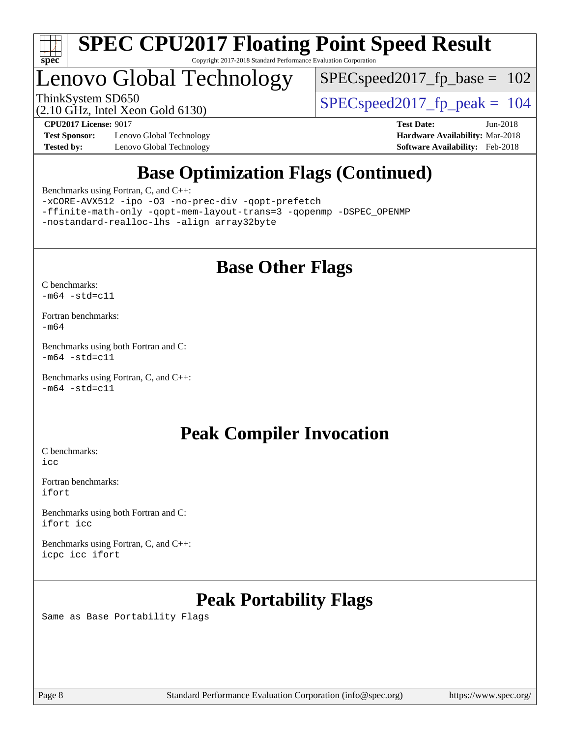

## Lenovo Global Technology

 $SPEC speed2017_fp\_base = 102$ 

(2.10 GHz, Intel Xeon Gold 6130)

ThinkSystem SD650  $SPEC speed2017$  fp\_peak = 104

**[Test Sponsor:](http://www.spec.org/auto/cpu2017/Docs/result-fields.html#TestSponsor)** Lenovo Global Technology **[Hardware Availability:](http://www.spec.org/auto/cpu2017/Docs/result-fields.html#HardwareAvailability)** Mar-2018 **[Tested by:](http://www.spec.org/auto/cpu2017/Docs/result-fields.html#Testedby)** Lenovo Global Technology **[Software Availability:](http://www.spec.org/auto/cpu2017/Docs/result-fields.html#SoftwareAvailability)** Feb-2018

**[CPU2017 License:](http://www.spec.org/auto/cpu2017/Docs/result-fields.html#CPU2017License)** 9017 **[Test Date:](http://www.spec.org/auto/cpu2017/Docs/result-fields.html#TestDate)** Jun-2018

## **[Base Optimization Flags \(Continued\)](http://www.spec.org/auto/cpu2017/Docs/result-fields.html#BaseOptimizationFlags)**

[Benchmarks using Fortran, C, and C++:](http://www.spec.org/auto/cpu2017/Docs/result-fields.html#BenchmarksusingFortranCandCXX)

[-xCORE-AVX512](http://www.spec.org/cpu2017/results/res2018q2/cpu2017-20180611-06756.flags.html#user_CC_CXX_FCbase_f-xCORE-AVX512) [-ipo](http://www.spec.org/cpu2017/results/res2018q2/cpu2017-20180611-06756.flags.html#user_CC_CXX_FCbase_f-ipo) [-O3](http://www.spec.org/cpu2017/results/res2018q2/cpu2017-20180611-06756.flags.html#user_CC_CXX_FCbase_f-O3) [-no-prec-div](http://www.spec.org/cpu2017/results/res2018q2/cpu2017-20180611-06756.flags.html#user_CC_CXX_FCbase_f-no-prec-div) [-qopt-prefetch](http://www.spec.org/cpu2017/results/res2018q2/cpu2017-20180611-06756.flags.html#user_CC_CXX_FCbase_f-qopt-prefetch) [-ffinite-math-only](http://www.spec.org/cpu2017/results/res2018q2/cpu2017-20180611-06756.flags.html#user_CC_CXX_FCbase_f_finite_math_only_cb91587bd2077682c4b38af759c288ed7c732db004271a9512da14a4f8007909a5f1427ecbf1a0fb78ff2a814402c6114ac565ca162485bbcae155b5e4258871) [-qopt-mem-layout-trans=3](http://www.spec.org/cpu2017/results/res2018q2/cpu2017-20180611-06756.flags.html#user_CC_CXX_FCbase_f-qopt-mem-layout-trans_de80db37974c74b1f0e20d883f0b675c88c3b01e9d123adea9b28688d64333345fb62bc4a798493513fdb68f60282f9a726aa07f478b2f7113531aecce732043) [-qopenmp](http://www.spec.org/cpu2017/results/res2018q2/cpu2017-20180611-06756.flags.html#user_CC_CXX_FCbase_qopenmp_16be0c44f24f464004c6784a7acb94aca937f053568ce72f94b139a11c7c168634a55f6653758ddd83bcf7b8463e8028bb0b48b77bcddc6b78d5d95bb1df2967) [-DSPEC\\_OPENMP](http://www.spec.org/cpu2017/results/res2018q2/cpu2017-20180611-06756.flags.html#suite_CC_CXX_FCbase_DSPEC_OPENMP) [-nostandard-realloc-lhs](http://www.spec.org/cpu2017/results/res2018q2/cpu2017-20180611-06756.flags.html#user_CC_CXX_FCbase_f_2003_std_realloc_82b4557e90729c0f113870c07e44d33d6f5a304b4f63d4c15d2d0f1fab99f5daaed73bdb9275d9ae411527f28b936061aa8b9c8f2d63842963b95c9dd6426b8a) [-align array32byte](http://www.spec.org/cpu2017/results/res2018q2/cpu2017-20180611-06756.flags.html#user_CC_CXX_FCbase_align_array32byte_b982fe038af199962ba9a80c053b8342c548c85b40b8e86eb3cc33dee0d7986a4af373ac2d51c3f7cf710a18d62fdce2948f201cd044323541f22fc0fffc51b6)

## **[Base Other Flags](http://www.spec.org/auto/cpu2017/Docs/result-fields.html#BaseOtherFlags)**

[C benchmarks](http://www.spec.org/auto/cpu2017/Docs/result-fields.html#Cbenchmarks):  $-m64 - std= c11$  $-m64 - std= c11$ 

[Fortran benchmarks](http://www.spec.org/auto/cpu2017/Docs/result-fields.html#Fortranbenchmarks): [-m64](http://www.spec.org/cpu2017/results/res2018q2/cpu2017-20180611-06756.flags.html#user_FCbase_intel_intel64_18.0_af43caccfc8ded86e7699f2159af6efc7655f51387b94da716254467f3c01020a5059329e2569e4053f409e7c9202a7efc638f7a6d1ffb3f52dea4a3e31d82ab)

[Benchmarks using both Fortran and C](http://www.spec.org/auto/cpu2017/Docs/result-fields.html#BenchmarksusingbothFortranandC):  $-m64$   $-std=cl1$ 

[Benchmarks using Fortran, C, and C++:](http://www.spec.org/auto/cpu2017/Docs/result-fields.html#BenchmarksusingFortranCandCXX)  $-m64$   $-std=cl1$ 

## **[Peak Compiler Invocation](http://www.spec.org/auto/cpu2017/Docs/result-fields.html#PeakCompilerInvocation)**

[C benchmarks](http://www.spec.org/auto/cpu2017/Docs/result-fields.html#Cbenchmarks): [icc](http://www.spec.org/cpu2017/results/res2018q2/cpu2017-20180611-06756.flags.html#user_CCpeak_intel_icc_18.0_66fc1ee009f7361af1fbd72ca7dcefbb700085f36577c54f309893dd4ec40d12360134090235512931783d35fd58c0460139e722d5067c5574d8eaf2b3e37e92)

[Fortran benchmarks](http://www.spec.org/auto/cpu2017/Docs/result-fields.html#Fortranbenchmarks): [ifort](http://www.spec.org/cpu2017/results/res2018q2/cpu2017-20180611-06756.flags.html#user_FCpeak_intel_ifort_18.0_8111460550e3ca792625aed983ce982f94888b8b503583aa7ba2b8303487b4d8a21a13e7191a45c5fd58ff318f48f9492884d4413fa793fd88dd292cad7027ca)

[Benchmarks using both Fortran and C](http://www.spec.org/auto/cpu2017/Docs/result-fields.html#BenchmarksusingbothFortranandC): [ifort](http://www.spec.org/cpu2017/results/res2018q2/cpu2017-20180611-06756.flags.html#user_CC_FCpeak_intel_ifort_18.0_8111460550e3ca792625aed983ce982f94888b8b503583aa7ba2b8303487b4d8a21a13e7191a45c5fd58ff318f48f9492884d4413fa793fd88dd292cad7027ca) [icc](http://www.spec.org/cpu2017/results/res2018q2/cpu2017-20180611-06756.flags.html#user_CC_FCpeak_intel_icc_18.0_66fc1ee009f7361af1fbd72ca7dcefbb700085f36577c54f309893dd4ec40d12360134090235512931783d35fd58c0460139e722d5067c5574d8eaf2b3e37e92)

[Benchmarks using Fortran, C, and C++:](http://www.spec.org/auto/cpu2017/Docs/result-fields.html#BenchmarksusingFortranCandCXX) [icpc](http://www.spec.org/cpu2017/results/res2018q2/cpu2017-20180611-06756.flags.html#user_CC_CXX_FCpeak_intel_icpc_18.0_c510b6838c7f56d33e37e94d029a35b4a7bccf4766a728ee175e80a419847e808290a9b78be685c44ab727ea267ec2f070ec5dc83b407c0218cded6866a35d07) [icc](http://www.spec.org/cpu2017/results/res2018q2/cpu2017-20180611-06756.flags.html#user_CC_CXX_FCpeak_intel_icc_18.0_66fc1ee009f7361af1fbd72ca7dcefbb700085f36577c54f309893dd4ec40d12360134090235512931783d35fd58c0460139e722d5067c5574d8eaf2b3e37e92) [ifort](http://www.spec.org/cpu2017/results/res2018q2/cpu2017-20180611-06756.flags.html#user_CC_CXX_FCpeak_intel_ifort_18.0_8111460550e3ca792625aed983ce982f94888b8b503583aa7ba2b8303487b4d8a21a13e7191a45c5fd58ff318f48f9492884d4413fa793fd88dd292cad7027ca)

## **[Peak Portability Flags](http://www.spec.org/auto/cpu2017/Docs/result-fields.html#PeakPortabilityFlags)**

Same as Base Portability Flags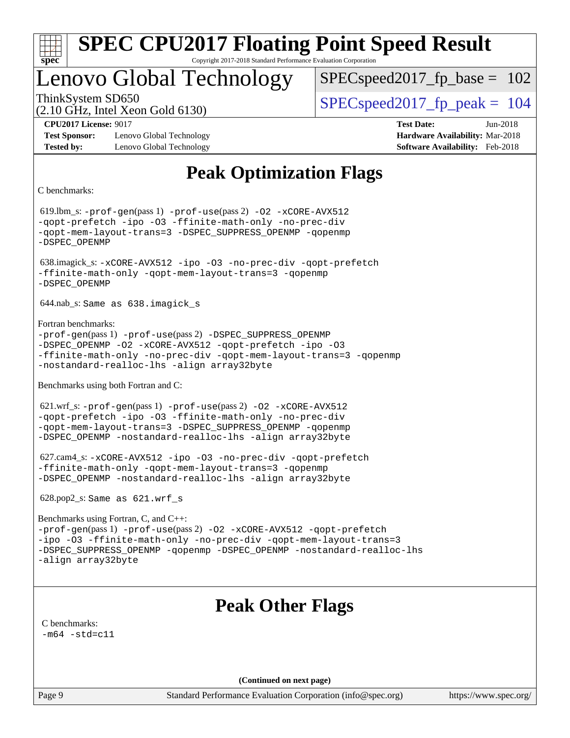

## Lenovo Global Technology

SPECspeed2017 fp base =  $102$ 

(2.10 GHz, Intel Xeon Gold 6130)

ThinkSystem SD650  $SPEC speed2017$  fp\_peak = 104

**[Test Sponsor:](http://www.spec.org/auto/cpu2017/Docs/result-fields.html#TestSponsor)** Lenovo Global Technology **[Hardware Availability:](http://www.spec.org/auto/cpu2017/Docs/result-fields.html#HardwareAvailability)** Mar-2018 **[Tested by:](http://www.spec.org/auto/cpu2017/Docs/result-fields.html#Testedby)** Lenovo Global Technology **[Software Availability:](http://www.spec.org/auto/cpu2017/Docs/result-fields.html#SoftwareAvailability)** Feb-2018

**[CPU2017 License:](http://www.spec.org/auto/cpu2017/Docs/result-fields.html#CPU2017License)** 9017 **[Test Date:](http://www.spec.org/auto/cpu2017/Docs/result-fields.html#TestDate)** Jun-2018

## **[Peak Optimization Flags](http://www.spec.org/auto/cpu2017/Docs/result-fields.html#PeakOptimizationFlags)**

[C benchmarks](http://www.spec.org/auto/cpu2017/Docs/result-fields.html#Cbenchmarks):

 619.lbm\_s: [-prof-gen](http://www.spec.org/cpu2017/results/res2018q2/cpu2017-20180611-06756.flags.html#user_peakPASS1_CFLAGSPASS1_LDFLAGS619_lbm_s_prof_gen_5aa4926d6013ddb2a31985c654b3eb18169fc0c6952a63635c234f711e6e63dd76e94ad52365559451ec499a2cdb89e4dc58ba4c67ef54ca681ffbe1461d6b36)(pass 1) [-prof-use](http://www.spec.org/cpu2017/results/res2018q2/cpu2017-20180611-06756.flags.html#user_peakPASS2_CFLAGSPASS2_LDFLAGS619_lbm_s_prof_use_1a21ceae95f36a2b53c25747139a6c16ca95bd9def2a207b4f0849963b97e94f5260e30a0c64f4bb623698870e679ca08317ef8150905d41bd88c6f78df73f19)(pass 2) [-O2](http://www.spec.org/cpu2017/results/res2018q2/cpu2017-20180611-06756.flags.html#user_peakPASS1_COPTIMIZE619_lbm_s_f-O2) [-xCORE-AVX512](http://www.spec.org/cpu2017/results/res2018q2/cpu2017-20180611-06756.flags.html#user_peakPASS2_COPTIMIZE619_lbm_s_f-xCORE-AVX512) [-qopt-prefetch](http://www.spec.org/cpu2017/results/res2018q2/cpu2017-20180611-06756.flags.html#user_peakPASS1_COPTIMIZEPASS2_COPTIMIZE619_lbm_s_f-qopt-prefetch) [-ipo](http://www.spec.org/cpu2017/results/res2018q2/cpu2017-20180611-06756.flags.html#user_peakPASS2_COPTIMIZE619_lbm_s_f-ipo) [-O3](http://www.spec.org/cpu2017/results/res2018q2/cpu2017-20180611-06756.flags.html#user_peakPASS2_COPTIMIZE619_lbm_s_f-O3) [-ffinite-math-only](http://www.spec.org/cpu2017/results/res2018q2/cpu2017-20180611-06756.flags.html#user_peakPASS1_COPTIMIZEPASS2_COPTIMIZE619_lbm_s_f_finite_math_only_cb91587bd2077682c4b38af759c288ed7c732db004271a9512da14a4f8007909a5f1427ecbf1a0fb78ff2a814402c6114ac565ca162485bbcae155b5e4258871) [-no-prec-div](http://www.spec.org/cpu2017/results/res2018q2/cpu2017-20180611-06756.flags.html#user_peakPASS2_COPTIMIZE619_lbm_s_f-no-prec-div) [-qopt-mem-layout-trans=3](http://www.spec.org/cpu2017/results/res2018q2/cpu2017-20180611-06756.flags.html#user_peakPASS1_COPTIMIZEPASS2_COPTIMIZE619_lbm_s_f-qopt-mem-layout-trans_de80db37974c74b1f0e20d883f0b675c88c3b01e9d123adea9b28688d64333345fb62bc4a798493513fdb68f60282f9a726aa07f478b2f7113531aecce732043) [-DSPEC\\_SUPPRESS\\_OPENMP](http://www.spec.org/cpu2017/results/res2018q2/cpu2017-20180611-06756.flags.html#suite_peakPASS1_COPTIMIZE619_lbm_s_DSPEC_SUPPRESS_OPENMP) [-qopenmp](http://www.spec.org/cpu2017/results/res2018q2/cpu2017-20180611-06756.flags.html#user_peakPASS2_COPTIMIZE619_lbm_s_qopenmp_16be0c44f24f464004c6784a7acb94aca937f053568ce72f94b139a11c7c168634a55f6653758ddd83bcf7b8463e8028bb0b48b77bcddc6b78d5d95bb1df2967) [-DSPEC\\_OPENMP](http://www.spec.org/cpu2017/results/res2018q2/cpu2017-20180611-06756.flags.html#suite_peakPASS2_COPTIMIZE619_lbm_s_DSPEC_OPENMP) 638.imagick\_s: [-xCORE-AVX512](http://www.spec.org/cpu2017/results/res2018q2/cpu2017-20180611-06756.flags.html#user_peakCOPTIMIZE638_imagick_s_f-xCORE-AVX512) [-ipo](http://www.spec.org/cpu2017/results/res2018q2/cpu2017-20180611-06756.flags.html#user_peakCOPTIMIZE638_imagick_s_f-ipo) [-O3](http://www.spec.org/cpu2017/results/res2018q2/cpu2017-20180611-06756.flags.html#user_peakCOPTIMIZE638_imagick_s_f-O3) [-no-prec-div](http://www.spec.org/cpu2017/results/res2018q2/cpu2017-20180611-06756.flags.html#user_peakCOPTIMIZE638_imagick_s_f-no-prec-div) [-qopt-prefetch](http://www.spec.org/cpu2017/results/res2018q2/cpu2017-20180611-06756.flags.html#user_peakCOPTIMIZE638_imagick_s_f-qopt-prefetch) [-ffinite-math-only](http://www.spec.org/cpu2017/results/res2018q2/cpu2017-20180611-06756.flags.html#user_peakCOPTIMIZE638_imagick_s_f_finite_math_only_cb91587bd2077682c4b38af759c288ed7c732db004271a9512da14a4f8007909a5f1427ecbf1a0fb78ff2a814402c6114ac565ca162485bbcae155b5e4258871) [-qopt-mem-layout-trans=3](http://www.spec.org/cpu2017/results/res2018q2/cpu2017-20180611-06756.flags.html#user_peakCOPTIMIZE638_imagick_s_f-qopt-mem-layout-trans_de80db37974c74b1f0e20d883f0b675c88c3b01e9d123adea9b28688d64333345fb62bc4a798493513fdb68f60282f9a726aa07f478b2f7113531aecce732043) [-qopenmp](http://www.spec.org/cpu2017/results/res2018q2/cpu2017-20180611-06756.flags.html#user_peakCOPTIMIZE638_imagick_s_qopenmp_16be0c44f24f464004c6784a7acb94aca937f053568ce72f94b139a11c7c168634a55f6653758ddd83bcf7b8463e8028bb0b48b77bcddc6b78d5d95bb1df2967) [-DSPEC\\_OPENMP](http://www.spec.org/cpu2017/results/res2018q2/cpu2017-20180611-06756.flags.html#suite_peakCOPTIMIZE638_imagick_s_DSPEC_OPENMP) 644.nab\_s: Same as 638.imagick\_s [Fortran benchmarks:](http://www.spec.org/auto/cpu2017/Docs/result-fields.html#Fortranbenchmarks) [-prof-gen](http://www.spec.org/cpu2017/results/res2018q2/cpu2017-20180611-06756.flags.html#user_FCpeak_prof_gen_5aa4926d6013ddb2a31985c654b3eb18169fc0c6952a63635c234f711e6e63dd76e94ad52365559451ec499a2cdb89e4dc58ba4c67ef54ca681ffbe1461d6b36)(pass 1) [-prof-use](http://www.spec.org/cpu2017/results/res2018q2/cpu2017-20180611-06756.flags.html#user_FCpeak_prof_use_1a21ceae95f36a2b53c25747139a6c16ca95bd9def2a207b4f0849963b97e94f5260e30a0c64f4bb623698870e679ca08317ef8150905d41bd88c6f78df73f19)(pass 2) [-DSPEC\\_SUPPRESS\\_OPENMP](http://www.spec.org/cpu2017/results/res2018q2/cpu2017-20180611-06756.flags.html#suite_FCpeak_DSPEC_SUPPRESS_OPENMP) [-DSPEC\\_OPENMP](http://www.spec.org/cpu2017/results/res2018q2/cpu2017-20180611-06756.flags.html#suite_FCpeak_DSPEC_OPENMP) [-O2](http://www.spec.org/cpu2017/results/res2018q2/cpu2017-20180611-06756.flags.html#user_FCpeak_f-O2) [-xCORE-AVX512](http://www.spec.org/cpu2017/results/res2018q2/cpu2017-20180611-06756.flags.html#user_FCpeak_f-xCORE-AVX512) [-qopt-prefetch](http://www.spec.org/cpu2017/results/res2018q2/cpu2017-20180611-06756.flags.html#user_FCpeak_f-qopt-prefetch) [-ipo](http://www.spec.org/cpu2017/results/res2018q2/cpu2017-20180611-06756.flags.html#user_FCpeak_f-ipo) [-O3](http://www.spec.org/cpu2017/results/res2018q2/cpu2017-20180611-06756.flags.html#user_FCpeak_f-O3) [-ffinite-math-only](http://www.spec.org/cpu2017/results/res2018q2/cpu2017-20180611-06756.flags.html#user_FCpeak_f_finite_math_only_cb91587bd2077682c4b38af759c288ed7c732db004271a9512da14a4f8007909a5f1427ecbf1a0fb78ff2a814402c6114ac565ca162485bbcae155b5e4258871) [-no-prec-div](http://www.spec.org/cpu2017/results/res2018q2/cpu2017-20180611-06756.flags.html#user_FCpeak_f-no-prec-div) [-qopt-mem-layout-trans=3](http://www.spec.org/cpu2017/results/res2018q2/cpu2017-20180611-06756.flags.html#user_FCpeak_f-qopt-mem-layout-trans_de80db37974c74b1f0e20d883f0b675c88c3b01e9d123adea9b28688d64333345fb62bc4a798493513fdb68f60282f9a726aa07f478b2f7113531aecce732043) [-qopenmp](http://www.spec.org/cpu2017/results/res2018q2/cpu2017-20180611-06756.flags.html#user_FCpeak_qopenmp_16be0c44f24f464004c6784a7acb94aca937f053568ce72f94b139a11c7c168634a55f6653758ddd83bcf7b8463e8028bb0b48b77bcddc6b78d5d95bb1df2967) [-nostandard-realloc-lhs](http://www.spec.org/cpu2017/results/res2018q2/cpu2017-20180611-06756.flags.html#user_FCpeak_f_2003_std_realloc_82b4557e90729c0f113870c07e44d33d6f5a304b4f63d4c15d2d0f1fab99f5daaed73bdb9275d9ae411527f28b936061aa8b9c8f2d63842963b95c9dd6426b8a) [-align array32byte](http://www.spec.org/cpu2017/results/res2018q2/cpu2017-20180611-06756.flags.html#user_FCpeak_align_array32byte_b982fe038af199962ba9a80c053b8342c548c85b40b8e86eb3cc33dee0d7986a4af373ac2d51c3f7cf710a18d62fdce2948f201cd044323541f22fc0fffc51b6) [Benchmarks using both Fortran and C](http://www.spec.org/auto/cpu2017/Docs/result-fields.html#BenchmarksusingbothFortranandC): 621.wrf\_s: [-prof-gen](http://www.spec.org/cpu2017/results/res2018q2/cpu2017-20180611-06756.flags.html#user_peakPASS1_CFLAGSPASS1_FFLAGSPASS1_LDFLAGS621_wrf_s_prof_gen_5aa4926d6013ddb2a31985c654b3eb18169fc0c6952a63635c234f711e6e63dd76e94ad52365559451ec499a2cdb89e4dc58ba4c67ef54ca681ffbe1461d6b36)(pass 1) [-prof-use](http://www.spec.org/cpu2017/results/res2018q2/cpu2017-20180611-06756.flags.html#user_peakPASS2_CFLAGSPASS2_FFLAGSPASS2_LDFLAGS621_wrf_s_prof_use_1a21ceae95f36a2b53c25747139a6c16ca95bd9def2a207b4f0849963b97e94f5260e30a0c64f4bb623698870e679ca08317ef8150905d41bd88c6f78df73f19)(pass 2) [-O2](http://www.spec.org/cpu2017/results/res2018q2/cpu2017-20180611-06756.flags.html#user_peakPASS1_COPTIMIZEPASS1_FOPTIMIZE621_wrf_s_f-O2) [-xCORE-AVX512](http://www.spec.org/cpu2017/results/res2018q2/cpu2017-20180611-06756.flags.html#user_peakPASS2_COPTIMIZEPASS2_FOPTIMIZE621_wrf_s_f-xCORE-AVX512) [-qopt-prefetch](http://www.spec.org/cpu2017/results/res2018q2/cpu2017-20180611-06756.flags.html#user_peakPASS1_COPTIMIZEPASS1_FOPTIMIZEPASS2_COPTIMIZEPASS2_FOPTIMIZE621_wrf_s_f-qopt-prefetch) [-ipo](http://www.spec.org/cpu2017/results/res2018q2/cpu2017-20180611-06756.flags.html#user_peakPASS2_COPTIMIZEPASS2_FOPTIMIZE621_wrf_s_f-ipo) [-O3](http://www.spec.org/cpu2017/results/res2018q2/cpu2017-20180611-06756.flags.html#user_peakPASS2_COPTIMIZEPASS2_FOPTIMIZE621_wrf_s_f-O3) [-ffinite-math-only](http://www.spec.org/cpu2017/results/res2018q2/cpu2017-20180611-06756.flags.html#user_peakPASS1_COPTIMIZEPASS1_FOPTIMIZEPASS2_COPTIMIZEPASS2_FOPTIMIZE621_wrf_s_f_finite_math_only_cb91587bd2077682c4b38af759c288ed7c732db004271a9512da14a4f8007909a5f1427ecbf1a0fb78ff2a814402c6114ac565ca162485bbcae155b5e4258871) [-no-prec-div](http://www.spec.org/cpu2017/results/res2018q2/cpu2017-20180611-06756.flags.html#user_peakPASS2_COPTIMIZEPASS2_FOPTIMIZE621_wrf_s_f-no-prec-div) [-qopt-mem-layout-trans=3](http://www.spec.org/cpu2017/results/res2018q2/cpu2017-20180611-06756.flags.html#user_peakPASS1_COPTIMIZEPASS1_FOPTIMIZEPASS2_COPTIMIZEPASS2_FOPTIMIZE621_wrf_s_f-qopt-mem-layout-trans_de80db37974c74b1f0e20d883f0b675c88c3b01e9d123adea9b28688d64333345fb62bc4a798493513fdb68f60282f9a726aa07f478b2f7113531aecce732043) [-DSPEC\\_SUPPRESS\\_OPENMP](http://www.spec.org/cpu2017/results/res2018q2/cpu2017-20180611-06756.flags.html#suite_peakPASS1_COPTIMIZEPASS1_FOPTIMIZE621_wrf_s_DSPEC_SUPPRESS_OPENMP) [-qopenmp](http://www.spec.org/cpu2017/results/res2018q2/cpu2017-20180611-06756.flags.html#user_peakPASS2_COPTIMIZEPASS2_FOPTIMIZE621_wrf_s_qopenmp_16be0c44f24f464004c6784a7acb94aca937f053568ce72f94b139a11c7c168634a55f6653758ddd83bcf7b8463e8028bb0b48b77bcddc6b78d5d95bb1df2967) [-DSPEC\\_OPENMP](http://www.spec.org/cpu2017/results/res2018q2/cpu2017-20180611-06756.flags.html#suite_peakPASS2_COPTIMIZEPASS2_FOPTIMIZE621_wrf_s_DSPEC_OPENMP) [-nostandard-realloc-lhs](http://www.spec.org/cpu2017/results/res2018q2/cpu2017-20180611-06756.flags.html#user_peakEXTRA_FOPTIMIZE621_wrf_s_f_2003_std_realloc_82b4557e90729c0f113870c07e44d33d6f5a304b4f63d4c15d2d0f1fab99f5daaed73bdb9275d9ae411527f28b936061aa8b9c8f2d63842963b95c9dd6426b8a) [-align array32byte](http://www.spec.org/cpu2017/results/res2018q2/cpu2017-20180611-06756.flags.html#user_peakEXTRA_FOPTIMIZE621_wrf_s_align_array32byte_b982fe038af199962ba9a80c053b8342c548c85b40b8e86eb3cc33dee0d7986a4af373ac2d51c3f7cf710a18d62fdce2948f201cd044323541f22fc0fffc51b6) 627.cam4\_s: [-xCORE-AVX512](http://www.spec.org/cpu2017/results/res2018q2/cpu2017-20180611-06756.flags.html#user_peakCOPTIMIZEFOPTIMIZE627_cam4_s_f-xCORE-AVX512) [-ipo](http://www.spec.org/cpu2017/results/res2018q2/cpu2017-20180611-06756.flags.html#user_peakCOPTIMIZEFOPTIMIZE627_cam4_s_f-ipo) [-O3](http://www.spec.org/cpu2017/results/res2018q2/cpu2017-20180611-06756.flags.html#user_peakCOPTIMIZEFOPTIMIZE627_cam4_s_f-O3) [-no-prec-div](http://www.spec.org/cpu2017/results/res2018q2/cpu2017-20180611-06756.flags.html#user_peakCOPTIMIZEFOPTIMIZE627_cam4_s_f-no-prec-div) [-qopt-prefetch](http://www.spec.org/cpu2017/results/res2018q2/cpu2017-20180611-06756.flags.html#user_peakCOPTIMIZEFOPTIMIZE627_cam4_s_f-qopt-prefetch) [-ffinite-math-only](http://www.spec.org/cpu2017/results/res2018q2/cpu2017-20180611-06756.flags.html#user_peakCOPTIMIZEFOPTIMIZE627_cam4_s_f_finite_math_only_cb91587bd2077682c4b38af759c288ed7c732db004271a9512da14a4f8007909a5f1427ecbf1a0fb78ff2a814402c6114ac565ca162485bbcae155b5e4258871) [-qopt-mem-layout-trans=3](http://www.spec.org/cpu2017/results/res2018q2/cpu2017-20180611-06756.flags.html#user_peakCOPTIMIZEFOPTIMIZE627_cam4_s_f-qopt-mem-layout-trans_de80db37974c74b1f0e20d883f0b675c88c3b01e9d123adea9b28688d64333345fb62bc4a798493513fdb68f60282f9a726aa07f478b2f7113531aecce732043) [-qopenmp](http://www.spec.org/cpu2017/results/res2018q2/cpu2017-20180611-06756.flags.html#user_peakCOPTIMIZEFOPTIMIZE627_cam4_s_qopenmp_16be0c44f24f464004c6784a7acb94aca937f053568ce72f94b139a11c7c168634a55f6653758ddd83bcf7b8463e8028bb0b48b77bcddc6b78d5d95bb1df2967) [-DSPEC\\_OPENMP](http://www.spec.org/cpu2017/results/res2018q2/cpu2017-20180611-06756.flags.html#suite_peakCOPTIMIZEFOPTIMIZE627_cam4_s_DSPEC_OPENMP) [-nostandard-realloc-lhs](http://www.spec.org/cpu2017/results/res2018q2/cpu2017-20180611-06756.flags.html#user_peakEXTRA_FOPTIMIZE627_cam4_s_f_2003_std_realloc_82b4557e90729c0f113870c07e44d33d6f5a304b4f63d4c15d2d0f1fab99f5daaed73bdb9275d9ae411527f28b936061aa8b9c8f2d63842963b95c9dd6426b8a) [-align array32byte](http://www.spec.org/cpu2017/results/res2018q2/cpu2017-20180611-06756.flags.html#user_peakEXTRA_FOPTIMIZE627_cam4_s_align_array32byte_b982fe038af199962ba9a80c053b8342c548c85b40b8e86eb3cc33dee0d7986a4af373ac2d51c3f7cf710a18d62fdce2948f201cd044323541f22fc0fffc51b6) 628.pop2\_s: Same as 621.wrf\_s [Benchmarks using Fortran, C, and C++](http://www.spec.org/auto/cpu2017/Docs/result-fields.html#BenchmarksusingFortranCandCXX): [-prof-gen](http://www.spec.org/cpu2017/results/res2018q2/cpu2017-20180611-06756.flags.html#user_CC_CXX_FCpeak_prof_gen_5aa4926d6013ddb2a31985c654b3eb18169fc0c6952a63635c234f711e6e63dd76e94ad52365559451ec499a2cdb89e4dc58ba4c67ef54ca681ffbe1461d6b36)(pass 1) [-prof-use](http://www.spec.org/cpu2017/results/res2018q2/cpu2017-20180611-06756.flags.html#user_CC_CXX_FCpeak_prof_use_1a21ceae95f36a2b53c25747139a6c16ca95bd9def2a207b4f0849963b97e94f5260e30a0c64f4bb623698870e679ca08317ef8150905d41bd88c6f78df73f19)(pass 2) [-O2](http://www.spec.org/cpu2017/results/res2018q2/cpu2017-20180611-06756.flags.html#user_CC_CXX_FCpeak_f-O2) [-xCORE-AVX512](http://www.spec.org/cpu2017/results/res2018q2/cpu2017-20180611-06756.flags.html#user_CC_CXX_FCpeak_f-xCORE-AVX512) [-qopt-prefetch](http://www.spec.org/cpu2017/results/res2018q2/cpu2017-20180611-06756.flags.html#user_CC_CXX_FCpeak_f-qopt-prefetch) [-ipo](http://www.spec.org/cpu2017/results/res2018q2/cpu2017-20180611-06756.flags.html#user_CC_CXX_FCpeak_f-ipo) [-O3](http://www.spec.org/cpu2017/results/res2018q2/cpu2017-20180611-06756.flags.html#user_CC_CXX_FCpeak_f-O3) [-ffinite-math-only](http://www.spec.org/cpu2017/results/res2018q2/cpu2017-20180611-06756.flags.html#user_CC_CXX_FCpeak_f_finite_math_only_cb91587bd2077682c4b38af759c288ed7c732db004271a9512da14a4f8007909a5f1427ecbf1a0fb78ff2a814402c6114ac565ca162485bbcae155b5e4258871) [-no-prec-div](http://www.spec.org/cpu2017/results/res2018q2/cpu2017-20180611-06756.flags.html#user_CC_CXX_FCpeak_f-no-prec-div) [-qopt-mem-layout-trans=3](http://www.spec.org/cpu2017/results/res2018q2/cpu2017-20180611-06756.flags.html#user_CC_CXX_FCpeak_f-qopt-mem-layout-trans_de80db37974c74b1f0e20d883f0b675c88c3b01e9d123adea9b28688d64333345fb62bc4a798493513fdb68f60282f9a726aa07f478b2f7113531aecce732043) [-DSPEC\\_SUPPRESS\\_OPENMP](http://www.spec.org/cpu2017/results/res2018q2/cpu2017-20180611-06756.flags.html#suite_CC_CXX_FCpeak_DSPEC_SUPPRESS_OPENMP) [-qopenmp](http://www.spec.org/cpu2017/results/res2018q2/cpu2017-20180611-06756.flags.html#user_CC_CXX_FCpeak_qopenmp_16be0c44f24f464004c6784a7acb94aca937f053568ce72f94b139a11c7c168634a55f6653758ddd83bcf7b8463e8028bb0b48b77bcddc6b78d5d95bb1df2967) [-DSPEC\\_OPENMP](http://www.spec.org/cpu2017/results/res2018q2/cpu2017-20180611-06756.flags.html#suite_CC_CXX_FCpeak_DSPEC_OPENMP) [-nostandard-realloc-lhs](http://www.spec.org/cpu2017/results/res2018q2/cpu2017-20180611-06756.flags.html#user_CC_CXX_FCpeak_f_2003_std_realloc_82b4557e90729c0f113870c07e44d33d6f5a304b4f63d4c15d2d0f1fab99f5daaed73bdb9275d9ae411527f28b936061aa8b9c8f2d63842963b95c9dd6426b8a) [-align array32byte](http://www.spec.org/cpu2017/results/res2018q2/cpu2017-20180611-06756.flags.html#user_CC_CXX_FCpeak_align_array32byte_b982fe038af199962ba9a80c053b8342c548c85b40b8e86eb3cc33dee0d7986a4af373ac2d51c3f7cf710a18d62fdce2948f201cd044323541f22fc0fffc51b6) **[Peak Other Flags](http://www.spec.org/auto/cpu2017/Docs/result-fields.html#PeakOtherFlags)** [C benchmarks](http://www.spec.org/auto/cpu2017/Docs/result-fields.html#Cbenchmarks):  $-m64 - std= c11$  $-m64 - std= c11$ **(Continued on next page)**

Page 9 Standard Performance Evaluation Corporation [\(info@spec.org\)](mailto:info@spec.org) <https://www.spec.org/>